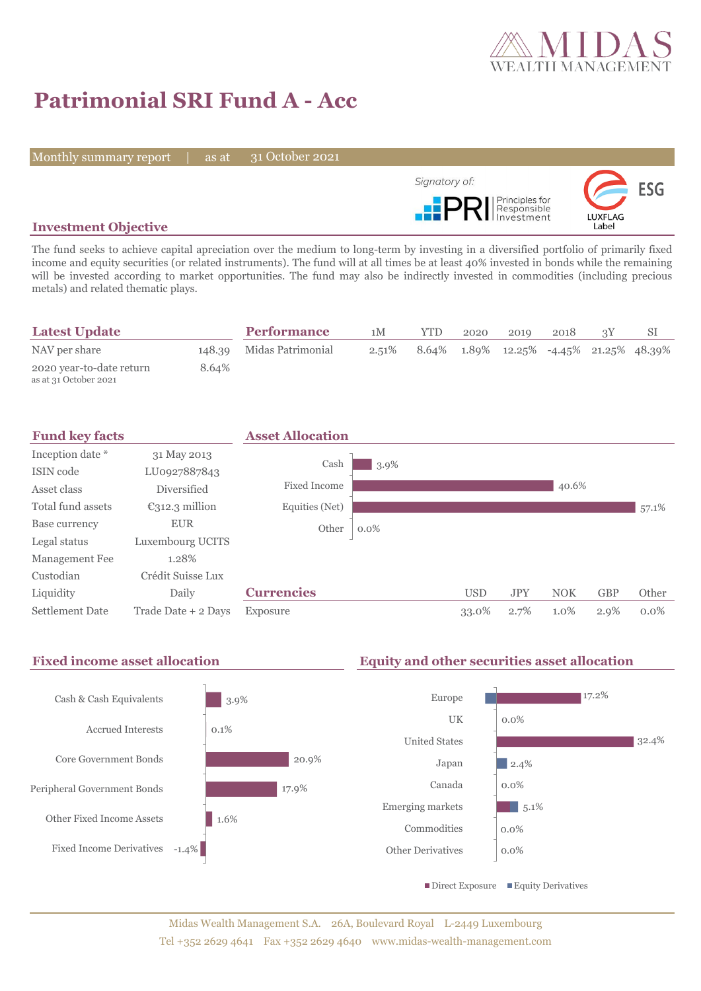

# **Patrimonial SRI Fund A - Acc**

Monthly summary report | as at

31 October 2021



## **Investment Objective**

The fund seeks to achieve capital apreciation over the medium to long-term by investing in a diversified portfolio of primarily fixed income and equity securities (or related instruments). The fund will at all times be at least 40% invested in bonds while the remaining will be invested according to market opportunities. The fund may also be indirectly invested in commodities (including precious metals) and related thematic plays.

| <b>Latest Update</b>                              |       | <b>Performance</b>       | 1M       | <b>YTD</b> | 2020 | 2019                                                      | 2018 |  |
|---------------------------------------------------|-------|--------------------------|----------|------------|------|-----------------------------------------------------------|------|--|
| NAV per share                                     |       | 148.39 Midas Patrimonial | $2.51\%$ |            |      | $8.64\%$ $1.89\%$ $12.25\%$ $-4.45\%$ $21.25\%$ $48.39\%$ |      |  |
| 2020 year-to-date return<br>as at 31 October 2021 | 8.64% |                          |          |            |      |                                                           |      |  |



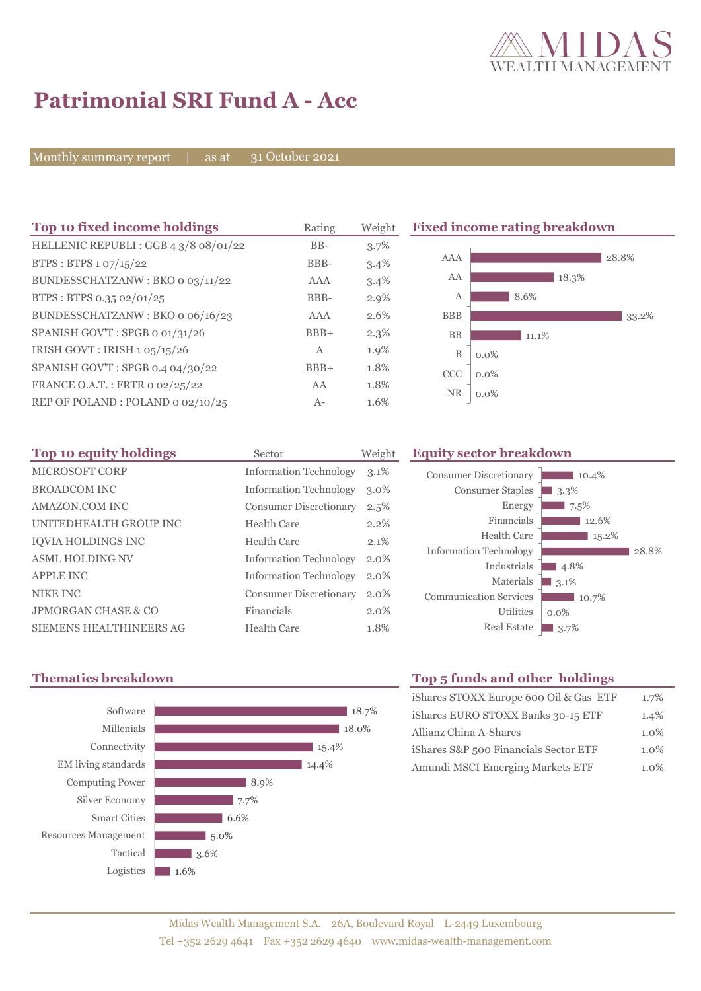

# **Patrimonial SRI Fund A - Acc**

Monthly summary report | as at

31 October 2021

| Top 10 fixed income holdings          | Rating       | Weight  | <b>Fixed income rating breakdown</b> |         |  |
|---------------------------------------|--------------|---------|--------------------------------------|---------|--|
| HELLENIC REPUBLI : GGB 4 3/8 08/01/22 | $BB-$        | 3.7%    |                                      |         |  |
| BTPS: BTPS $1.07/15/22$               | BBB-         | 3.4%    | AAA                                  | 28.8%   |  |
| BUNDESSCHATZANW: BKO o 03/11/22       | AAA          | 3.4%    | AA                                   | 18.3%   |  |
| BTPS: BTPS 0.35 02/01/25              | BBB-         | $2.9\%$ | Α                                    | 8.6%    |  |
| BUNDESSCHATZANW: BKO o 06/16/23       | AAA          | 2.6%    | <b>BBB</b>                           | 33.2%   |  |
| SPANISH GOV'T: SPGB o 01/31/26        | $BBB+$       | $2.3\%$ | <b>BB</b>                            | 11.1%   |  |
| IRISH GOVT: IRISH 1 05/15/26          | $\mathbf{A}$ | 1.9%    | $\, {\bf B}$                         | $0.0\%$ |  |
| SPANISH GOV'T: SPGB 0.4 04/30/22      | $BBB+$       | 1.8%    | <b>CCC</b>                           | $0.0\%$ |  |
| FRANCE O.A.T.: FRTR 0 02/25/22        | AA           | 1.8%    | <b>NR</b>                            |         |  |
| REP OF POLAND: POLAND 0 02/10/25      | $A-$         | 1.6%    |                                      | $0.0\%$ |  |

| Top 10 equity holdings  | Sector                        | Weight  |
|-------------------------|-------------------------------|---------|
| MICROSOFT CORP          | <b>Information Technology</b> | 3.1%    |
| <b>BROADCOM INC</b>     | <b>Information Technology</b> | $3.0\%$ |
| AMAZON.COM INC          | <b>Consumer Discretionary</b> | 2.5%    |
| UNITEDHEALTH GROUP INC  | Health Care                   | $2.2\%$ |
| IQVIA HOLDINGS INC      | Health Care                   | 2.1%    |
| <b>ASML HOLDING NV</b>  | <b>Information Technology</b> | $2.0\%$ |
| <b>APPLE INC</b>        | <b>Information Technology</b> | 2.0%    |
| NIKE INC                | <b>Consumer Discretionary</b> | $2.0\%$ |
| JPMORGAN CHASE & CO     | Financials                    | $2.0\%$ |
| SIEMENS HEALTHINEERS AG | Health Care                   | 1.8%    |

## **Equity sector breakdown**





## **Thematics breakdown Top 5 funds and other holdings**

| iShares STOXX Europe 600 Oil & Gas ETF | 1.7%    |
|----------------------------------------|---------|
| iShares EURO STOXX Banks 30-15 ETF     | 1.4%    |
| Allianz China A-Shares                 | $1.0\%$ |
| iShares S&P 500 Financials Sector ETF  | 1.0%    |
| Amundi MSCI Emerging Markets ETF       | $1.0\%$ |